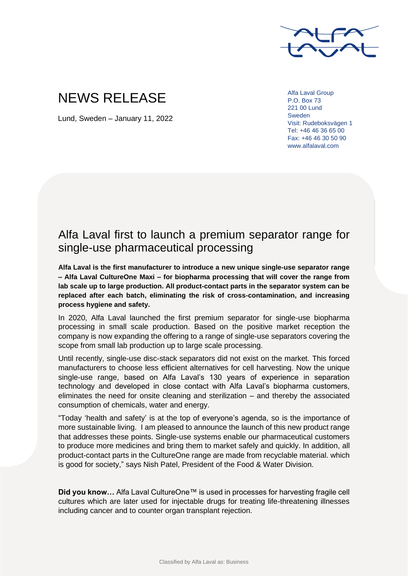

## NEWS RELEASE

Lund, Sweden – January 11, 2022

Alfa Laval Group P.O. Box 73 221 00 Lund Sweden Visit: Rudeboksvägen 1 Tel: +46 46 36 65 00 Fax: +46 46 30 50 90 www.alfalaval.com

## Alfa Laval first to launch a premium separator range for single-use pharmaceutical processing

**Alfa Laval is the first manufacturer to introduce a new unique single-use separator range – Alfa Laval CultureOne Maxi – for biopharma processing that will cover the range from lab scale up to large production. All product-contact parts in the separator system can be replaced after each batch, eliminating the risk of cross-contamination, and increasing process hygiene and safety.**

In 2020, Alfa Laval launched the first premium separator for single-use biopharma processing in small scale production. Based on the positive market reception the company is now expanding the offering to a range of single-use separators covering the scope from small lab production up to large scale processing.

Until recently, single-use disc-stack separators did not exist on the market. This forced manufacturers to choose less efficient alternatives for cell harvesting. Now the unique single-use range, based on Alfa Laval's 130 years of experience in separation technology and developed in close contact with Alfa Laval's biopharma customers, eliminates the need for onsite cleaning and sterilization – and thereby the associated consumption of chemicals, water and energy.

"Today 'health and safety' is at the top of everyone's agenda, so is the importance of more sustainable living. I am pleased to announce the launch of this new product range that addresses these points. Single-use systems enable our pharmaceutical customers to produce more medicines and bring them to market safely and quickly. In addition, all product-contact parts in the CultureOne range are made from recyclable material. which is good for society," says Nish Patel, President of the Food & Water Division.

Did you know... Alfa Laval CultureOne™ is used in processes for harvesting fragile cell cultures which are later used for injectable drugs for treating life-threatening illnesses including cancer and to counter organ transplant rejection.